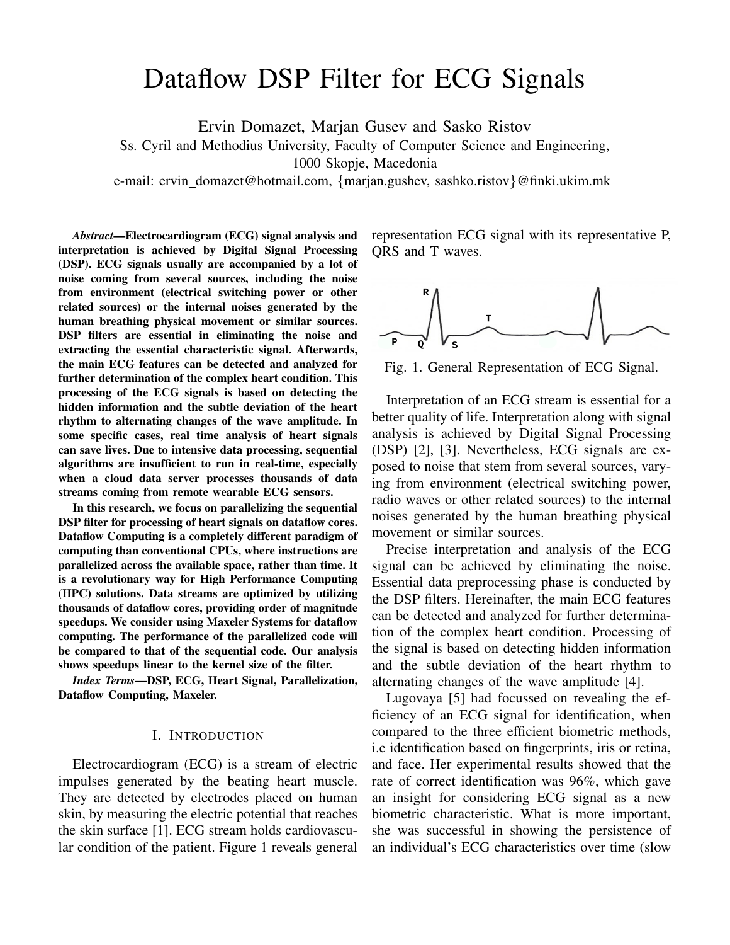# Dataflow DSP Filter for ECG Signals

Ervin Domazet, Marjan Gusev and Sasko Ristov

Ss. Cyril and Methodius University, Faculty of Computer Science and Engineering,

1000 Skopje, Macedonia

e-mail: ervin domazet@hotmail.com, {marjan.gushev, sashko.ristov}@finki.ukim.mk

*Abstract*—Electrocardiogram (ECG) signal analysis and interpretation is achieved by Digital Signal Processing (DSP). ECG signals usually are accompanied by a lot of noise coming from several sources, including the noise from environment (electrical switching power or other related sources) or the internal noises generated by the human breathing physical movement or similar sources. DSP filters are essential in eliminating the noise and extracting the essential characteristic signal. Afterwards, the main ECG features can be detected and analyzed for further determination of the complex heart condition. This processing of the ECG signals is based on detecting the hidden information and the subtle deviation of the heart rhythm to alternating changes of the wave amplitude. In some specific cases, real time analysis of heart signals can save lives. Due to intensive data processing, sequential algorithms are insufficient to run in real-time, especially when a cloud data server processes thousands of data streams coming from remote wearable ECG sensors.

In this research, we focus on parallelizing the sequential DSP filter for processing of heart signals on dataflow cores. Dataflow Computing is a completely different paradigm of computing than conventional CPUs, where instructions are parallelized across the available space, rather than time. It is a revolutionary way for High Performance Computing (HPC) solutions. Data streams are optimized by utilizing thousands of dataflow cores, providing order of magnitude speedups. We consider using Maxeler Systems for dataflow computing. The performance of the parallelized code will be compared to that of the sequential code. Our analysis shows speedups linear to the kernel size of the filter.

*Index Terms*—DSP, ECG, Heart Signal, Parallelization, Dataflow Computing, Maxeler.

#### I. INTRODUCTION

Electrocardiogram (ECG) is a stream of electric impulses generated by the beating heart muscle. They are detected by electrodes placed on human skin, by measuring the electric potential that reaches the skin surface [1]. ECG stream holds cardiovascular condition of the patient. Figure 1 reveals general

representation ECG signal with its representative P, QRS and T waves.



Fig. 1. General Representation of ECG Signal.

Interpretation of an ECG stream is essential for a better quality of life. Interpretation along with signal analysis is achieved by Digital Signal Processing (DSP) [2], [3]. Nevertheless, ECG signals are exposed to noise that stem from several sources, varying from environment (electrical switching power, radio waves or other related sources) to the internal noises generated by the human breathing physical movement or similar sources.

Precise interpretation and analysis of the ECG signal can be achieved by eliminating the noise. Essential data preprocessing phase is conducted by the DSP filters. Hereinafter, the main ECG features can be detected and analyzed for further determination of the complex heart condition. Processing of the signal is based on detecting hidden information and the subtle deviation of the heart rhythm to alternating changes of the wave amplitude [4].

Lugovaya [5] had focussed on revealing the efficiency of an ECG signal for identification, when compared to the three efficient biometric methods, i.e identification based on fingerprints, iris or retina, and face. Her experimental results showed that the rate of correct identification was 96%, which gave an insight for considering ECG signal as a new biometric characteristic. What is more important, she was successful in showing the persistence of an individual's ECG characteristics over time (slow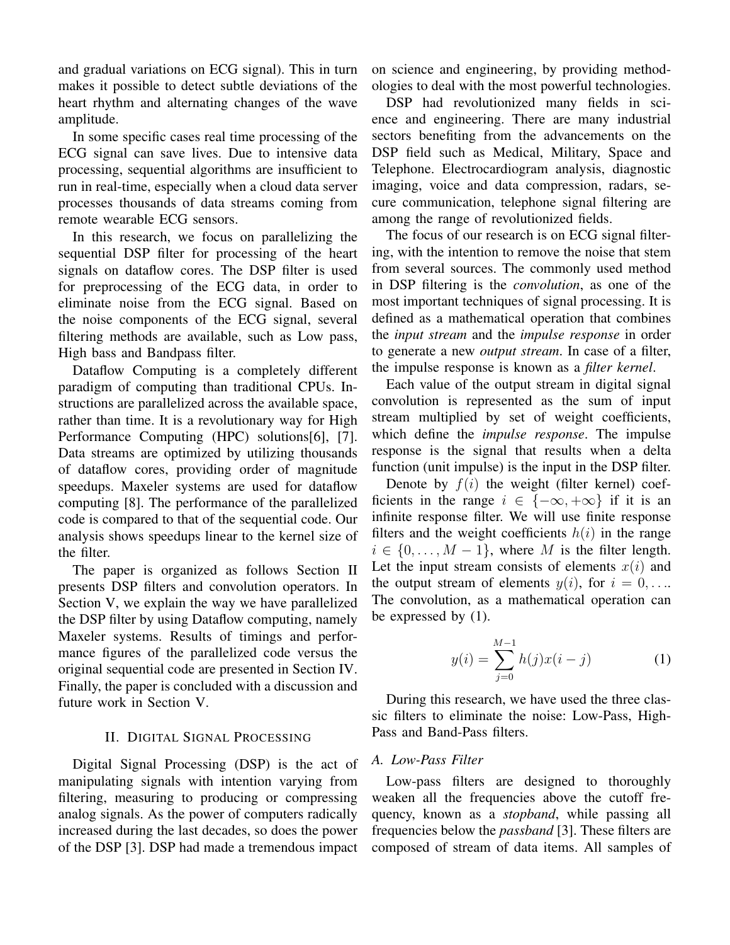and gradual variations on ECG signal). This in turn makes it possible to detect subtle deviations of the heart rhythm and alternating changes of the wave amplitude.

In some specific cases real time processing of the ECG signal can save lives. Due to intensive data processing, sequential algorithms are insufficient to run in real-time, especially when a cloud data server processes thousands of data streams coming from remote wearable ECG sensors.

In this research, we focus on parallelizing the sequential DSP filter for processing of the heart signals on dataflow cores. The DSP filter is used for preprocessing of the ECG data, in order to eliminate noise from the ECG signal. Based on the noise components of the ECG signal, several filtering methods are available, such as Low pass, High bass and Bandpass filter.

Dataflow Computing is a completely different paradigm of computing than traditional CPUs. Instructions are parallelized across the available space, rather than time. It is a revolutionary way for High Performance Computing (HPC) solutions[6], [7]. Data streams are optimized by utilizing thousands of dataflow cores, providing order of magnitude speedups. Maxeler systems are used for dataflow computing [8]. The performance of the parallelized code is compared to that of the sequential code. Our analysis shows speedups linear to the kernel size of the filter.

The paper is organized as follows Section II presents DSP filters and convolution operators. In Section V, we explain the way we have parallelized the DSP filter by using Dataflow computing, namely Maxeler systems. Results of timings and performance figures of the parallelized code versus the original sequential code are presented in Section IV. Finally, the paper is concluded with a discussion and future work in Section V.

#### II. DIGITAL SIGNAL PROCESSING

Digital Signal Processing (DSP) is the act of manipulating signals with intention varying from filtering, measuring to producing or compressing analog signals. As the power of computers radically increased during the last decades, so does the power of the DSP [3]. DSP had made a tremendous impact

on science and engineering, by providing methodologies to deal with the most powerful technologies.

DSP had revolutionized many fields in science and engineering. There are many industrial sectors benefiting from the advancements on the DSP field such as Medical, Military, Space and Telephone. Electrocardiogram analysis, diagnostic imaging, voice and data compression, radars, secure communication, telephone signal filtering are among the range of revolutionized fields.

The focus of our research is on ECG signal filtering, with the intention to remove the noise that stem from several sources. The commonly used method in DSP filtering is the *convolution*, as one of the most important techniques of signal processing. It is defined as a mathematical operation that combines the *input stream* and the *impulse response* in order to generate a new *output stream*. In case of a filter, the impulse response is known as a *filter kernel*.

Each value of the output stream in digital signal convolution is represented as the sum of input stream multiplied by set of weight coefficients, which define the *impulse response*. The impulse response is the signal that results when a delta function (unit impulse) is the input in the DSP filter.

Denote by  $f(i)$  the weight (filter kernel) coefficients in the range  $i \in \{-\infty, +\infty\}$  if it is an infinite response filter. We will use finite response filters and the weight coefficients  $h(i)$  in the range  $i \in \{0, \ldots, M-1\}$ , where M is the filter length. Let the input stream consists of elements  $x(i)$  and the output stream of elements  $y(i)$ , for  $i = 0, \ldots$ The convolution, as a mathematical operation can be expressed by (1).

$$
y(i) = \sum_{j=0}^{M-1} h(j)x(i-j)
$$
 (1)

During this research, we have used the three classic filters to eliminate the noise: Low-Pass, High-Pass and Band-Pass filters.

## *A. Low-Pass Filter*

Low-pass filters are designed to thoroughly weaken all the frequencies above the cutoff frequency, known as a *stopband*, while passing all frequencies below the *passband* [3]. These filters are composed of stream of data items. All samples of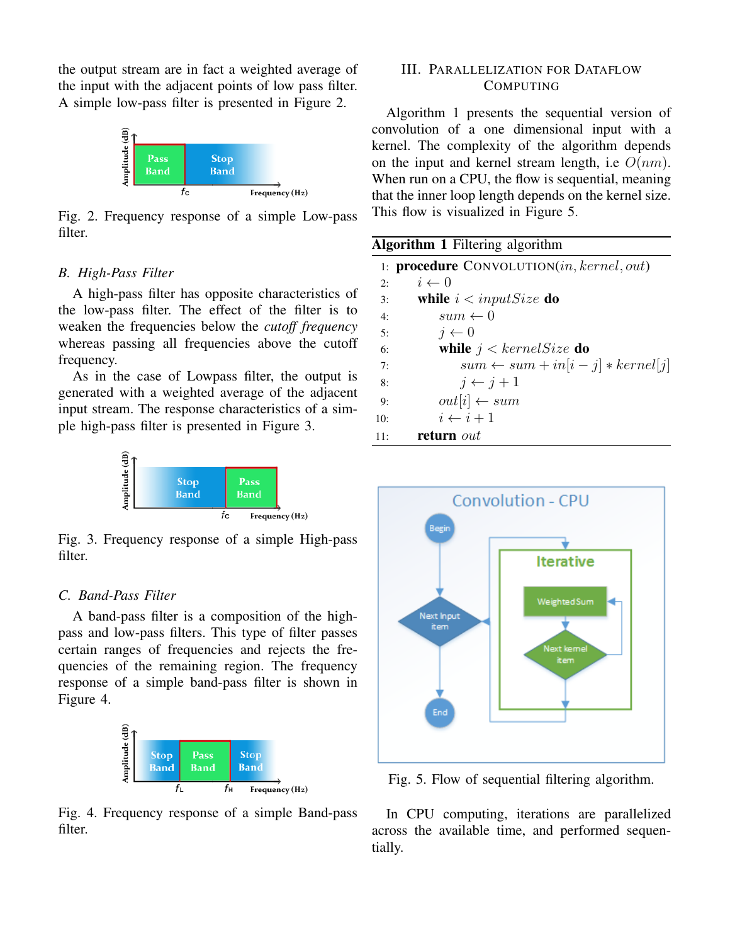the output stream are in fact a weighted average of the input with the adjacent points of low pass filter. A simple low-pass filter is presented in Figure 2.



Fig. 2. Frequency response of a simple Low-pass filter.

## *B. High-Pass Filter*

A high-pass filter has opposite characteristics of the low-pass filter. The effect of the filter is to weaken the frequencies below the *cutoff frequency* whereas passing all frequencies above the cutoff frequency.

As in the case of Lowpass filter, the output is generated with a weighted average of the adjacent input stream. The response characteristics of a simple high-pass filter is presented in Figure 3.



Fig. 3. Frequency response of a simple High-pass filter.

## *C. Band-Pass Filter*

A band-pass filter is a composition of the highpass and low-pass filters. This type of filter passes certain ranges of frequencies and rejects the frequencies of the remaining region. The frequency response of a simple band-pass filter is shown in Figure 4.



Fig. 4. Frequency response of a simple Band-pass filter.

### III. PARALLELIZATION FOR DATAFLOW COMPUTING

Algorithm 1 presents the sequential version of convolution of a one dimensional input with a kernel. The complexity of the algorithm depends on the input and kernel stream length, i.e  $O(nm)$ . When run on a CPU, the flow is sequential, meaning that the inner loop length depends on the kernel size. This flow is visualized in Figure 5.

| <b>Algorithm 1</b> Filtering algorithm |                                                    |  |  |  |  |  |
|----------------------------------------|----------------------------------------------------|--|--|--|--|--|
|                                        | 1: <b>procedure</b> $ConvOLUTION(in, kernel, out)$ |  |  |  |  |  |
| 2:                                     | $i \leftarrow 0$                                   |  |  |  |  |  |
| 3:                                     | while $i$ < input Size do                          |  |  |  |  |  |
| 4:                                     | $sum \leftarrow 0$                                 |  |  |  |  |  |
| 5:                                     | $i \leftarrow 0$                                   |  |  |  |  |  |
| 6:                                     | while $j < kernelSize$ do                          |  |  |  |  |  |
| 7:                                     | $sum \leftarrow sum + in[i - j] * kernel[j]$       |  |  |  |  |  |
| 8:                                     | $i \leftarrow i+1$                                 |  |  |  |  |  |
| 9:                                     | $out[i] \leftarrow sum$                            |  |  |  |  |  |
| 10:                                    | $i \leftarrow i+1$                                 |  |  |  |  |  |
| 11:                                    | <b>return</b> out                                  |  |  |  |  |  |



Fig. 5. Flow of sequential filtering algorithm.

In CPU computing, iterations are parallelized across the available time, and performed sequentially.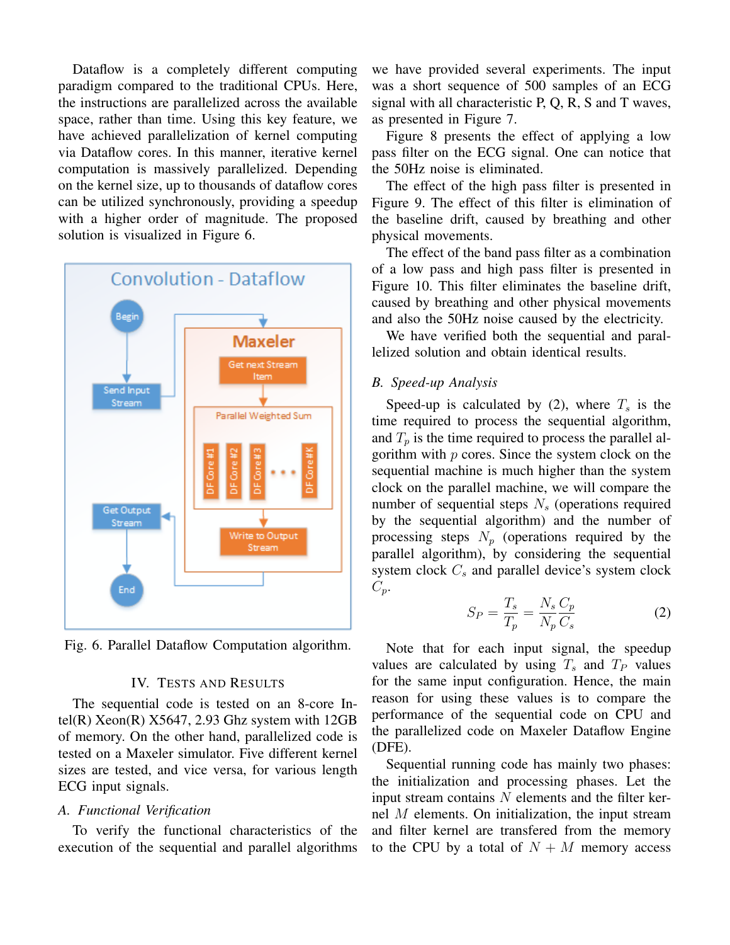Dataflow is a completely different computing paradigm compared to the traditional CPUs. Here, the instructions are parallelized across the available space, rather than time. Using this key feature, we have achieved parallelization of kernel computing via Dataflow cores. In this manner, iterative kernel computation is massively parallelized. Depending on the kernel size, up to thousands of dataflow cores can be utilized synchronously, providing a speedup with a higher order of magnitude. The proposed solution is visualized in Figure 6.



Fig. 6. Parallel Dataflow Computation algorithm.

#### IV. TESTS AND RESULTS

The sequential code is tested on an 8-core Intel(R) Xeon(R)  $X$ 5647, 2.93 Ghz system with 12GB of memory. On the other hand, parallelized code is tested on a Maxeler simulator. Five different kernel sizes are tested, and vice versa, for various length ECG input signals.

#### *A. Functional Verification*

To verify the functional characteristics of the execution of the sequential and parallel algorithms we have provided several experiments. The input was a short sequence of 500 samples of an ECG signal with all characteristic P, Q, R, S and T waves, as presented in Figure 7.

Figure 8 presents the effect of applying a low pass filter on the ECG signal. One can notice that the 50Hz noise is eliminated.

The effect of the high pass filter is presented in Figure 9. The effect of this filter is elimination of the baseline drift, caused by breathing and other physical movements.

The effect of the band pass filter as a combination of a low pass and high pass filter is presented in Figure 10. This filter eliminates the baseline drift, caused by breathing and other physical movements and also the 50Hz noise caused by the electricity.

We have verified both the sequential and parallelized solution and obtain identical results.

#### *B. Speed-up Analysis*

Speed-up is calculated by (2), where  $T_s$  is the time required to process the sequential algorithm, and  $T_p$  is the time required to process the parallel algorithm with  $p$  cores. Since the system clock on the sequential machine is much higher than the system clock on the parallel machine, we will compare the number of sequential steps  $N<sub>s</sub>$  (operations required by the sequential algorithm) and the number of processing steps  $N_p$  (operations required by the parallel algorithm), by considering the sequential system clock  $C_s$  and parallel device's system clock  $C_p$ .

$$
S_P = \frac{T_s}{T_p} = \frac{N_s C_p}{N_p C_s} \tag{2}
$$

Note that for each input signal, the speedup values are calculated by using  $T_s$  and  $T_P$  values for the same input configuration. Hence, the main reason for using these values is to compare the performance of the sequential code on CPU and the parallelized code on Maxeler Dataflow Engine (DFE).

Sequential running code has mainly two phases: the initialization and processing phases. Let the input stream contains  $N$  elements and the filter kernel M elements. On initialization, the input stream and filter kernel are transfered from the memory to the CPU by a total of  $N + M$  memory access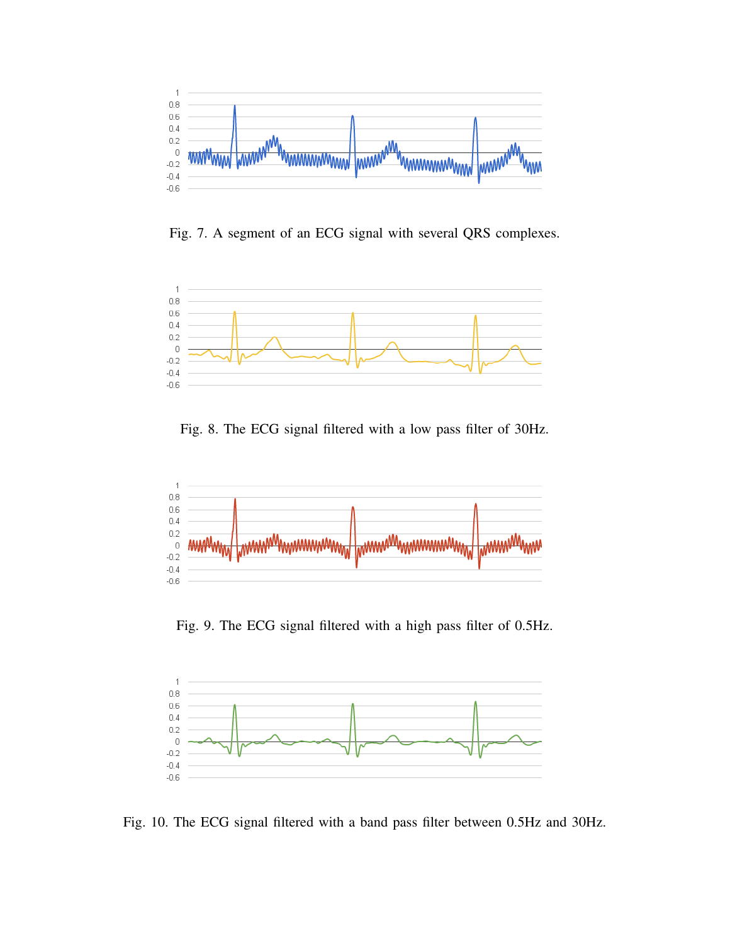

Fig. 7. A segment of an ECG signal with several QRS complexes.



Fig. 8. The ECG signal filtered with a low pass filter of 30Hz.



Fig. 9. The ECG signal filtered with a high pass filter of 0.5Hz.



Fig. 10. The ECG signal filtered with a band pass filter between 0.5Hz and 30Hz.